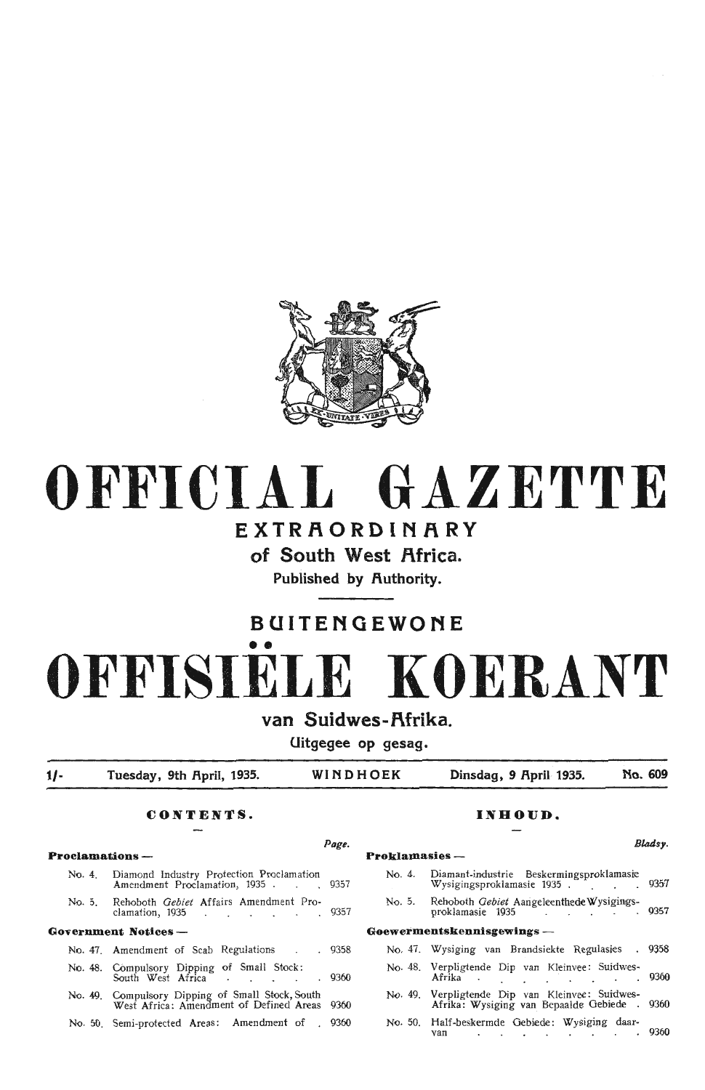

## **OFFICIAL GAZETTE**

## **EXTRAORDINARY**

**of South West Africa.** 

Published by **Authority**.

## **BUITENGEWONE**

# •• **OFFISIELE KOERANT**

### van Suidwes-Afrika.

**Uitgegee op gesag.** 

**t/- Tuesday, 9th Rpril, 1935. WINDHOEK Dinsdag, 9 Rpril 1935. No. 609** 

#### **C,ONTENTS. INHOUD.**

#### **Proclamations - Proklamasies** - No. 4. Diamond Industry Protection Proclamation Amendment Proclamation, 1935 . . . . 9357 No. 5. Rehoboth *Gebiet* Affairs Amendment Proclamation, 1935 . . . . . . 9357 **Government Notices** - No. 47. Amendment of Scab Regulations . . 9358 No. 48. Compulsory Dipping of Small Stock:<br>South West Africa . . . . . . 9360 No. 49. Compulsory Dipping of Small Stock, South West Africa: Amendment of Defined Areas 9360 No. 50. Semi-protected Areas: Amendment of . 9360

### No. 4. Diamant-industrie Beskermingsproklamasie Wysigingsproklamasie 1935 . 9357 No. 5. Rehoboth *Gebiet* Aangeleenthede Wysigingsproklamasie 1935 . . . . . . . . 9357 **Goewermentskennisgewings** - No. 47. Wysiging van Brandsiekte Regulasies . 9358 No. 48. Verpligtende Dip van Kleinvee: Suidwes-Afrika . . . . . . 9360 No. 49. Verpligten<le Dip van Kleinvee: Suidwes- Afrika: Wysiging van\_ Bepaalde Gebiede . <sup>9360</sup> No. 50. Half-beskermde Gebiede: Wysiging daar- van 9360

#### *Page. B/adsy.*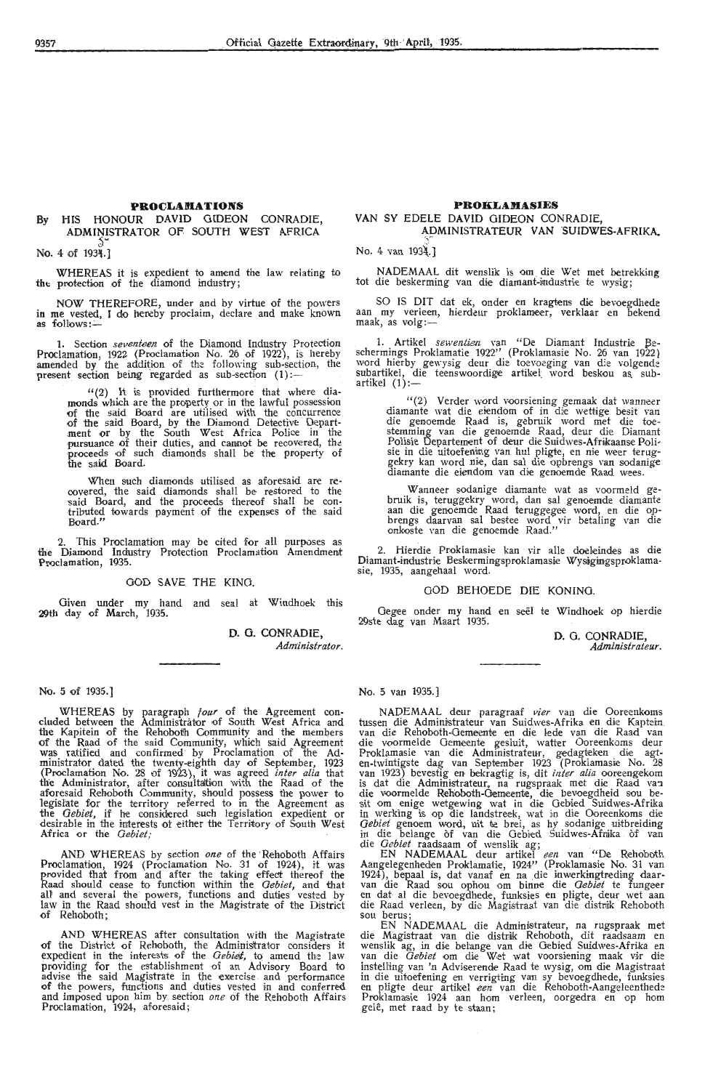#### **PROCLAMATIONS**

#### By HIS HONOUR DAVID GIDEON CONRADIE, ADMINISTRATOR OF SOUTH WEST AFRICA

No. 4 of 1934.]

WHEREAS it is expedient to amend the law relating to tht protection of the diamond industry;

NOW THEREFORE, under and by virtue of the powers in me vested, I do hereby proclaim, declare and make known as follows:-

1. Section *seventeen* of the Diamond Industry Protection Proclamation, 1922 (Proclamation No. 26 of 1922), is hereby amended by the addition of the following sub-section, the present section being regarded as sub-section  $(1)$ :

> $''(2)$  It is provided furthermore that where diamonds which are the property or in the lawful possession of the said Board are utilised with the concurrence of the said Board, by the Diamond Detective · Department or by the South West Africa Police in the pursuance of their duties, and cannot be recovered, the proceeds of such diamonds shall be the property of the said Board.

> When such diamonds utilised as aforesaid are re-<br>covered, the said diamonds shall be restored to the<br>said Board, and the proceeds thereof shall be consaid Board, and the proceeds ther-eof shall be con- tributed towards payment of the expenses of the said Board."

2. This Proclamation may be cited for all purposes as the Diamond Industry Protection Proclamation Amendment Proclamation, 1935.

#### GOD SAVE THE KING.

Given under my hand and seal at Windhoek this **29th** day of March, 1935.

> **D. 0. CONRADIE,**  *Administrator.*

#### No. 5 of 1935.)

WHEREAS by paragraph *four* of the Agreement con-<br>cluded between the Administrator of South West Africa and the Kapitein of the Rehobotfu Community and the members of the Raad of the said Community, which said Agreement was ratified and confirmed· by Proclamation of the Administrator dated the twenty-eighth day of September, 1923 (Proclamation No. 28 of 1923), it was agreed *inter alia* that the Administrator, after consultaltion with the Raad of the aforesaid Rehoboth Community, should possess the power to legislate for the territory referred to in the Agreement as the *Gebiet*, if he considered such legislation expedient or desirable in the interests of either the Territory of South West Africa or the *Oebiet;* ·

AND WHEREAS by section *one* of the Rehoboth Affairs<br>Proclamation, 1924 (Proclamation No. 31 of 1924), it was<br>provided that from and after the taking effect thereof the Raad should cease to function within the *Gebiet*, and that all and several the powers, functions and duties vested by law in the Raad should vest in the Magistrate of the District of Rehoboth;

AND WHEREAS after consultation with the Magistrate of the District of Rehoboth, the Administrator considers it expedient in the interests of the *Gebiet*, to amend the law providing for the establishment of an Advisory Board to advise the said Magistrate in the exercise and performance of the powers, functions and duties vested in and conferred and imposed upon him by section one of the Rehoboth Affairs Proclamation, 1924, aforesaid;

#### **PROKLAMASIES**

#### VAN SY EDELE DAVID GIDEON CONRADIE, ADMINISTRATEUR VAN SUIDWES-AFRIKA.

No. 4 van 1934.1

NADEMAAL dit wenslik is om die Wet met betrekking tot die beskerming van die diamant-industrie te wysig;

SO IS DIT <lat ek, onder en kragtens die bevoegdhede aan my verleen, hierdeur proklameer, verklaar en bekend aan my verieen<br>maak, as volg:—

1. Artikel *sewentien* van "De Diamant Industrie Beschermings Proklamatie 1922" (Proklamasie No. 26 van 1922} word hierby gewysig deur die toevoeging van die volgende subartikel, die teenswoordige artikel word beskou as subsubartikel,  $\alpha$ <br>artikel  $(1)$ :-

> " (2) Verder word voorsiening gemaak dat wanneer diamante wat die eiendom of in die wettige besit van stemming van die genoemde Raad, deur die Diamant Polisie Departement of deur die Suidwes-Afriikaanse Polisie in die uitoefening van hul pligte, en nie weer teruggekry kan word nie, dan sal die opbrengs van sodanige diamante die eiendom van die genoemde Raad wees.

> Wanneer sodanige diamante wat as voormeld gebruik is, teruggekry word, dan sal genoemde diamante<br>aan die genoemde Raad teruggegee word, en die opbrengs daarvan sal bestee word vir betaling van die onkoste van die genoemde Raad."

2. Hierdie Proklamasie kan vir alle doeleindes as die Diamant-industrie Beskermingsproklamasie Wysigingsproklamasie, 1935, aangehaal word.

GOD BEHOEDE DIE KONING.

*Oegee* onder my hand en seel te Windhoek op hierdie 29ste dag van Maart 1935.

> D. G. CONRADIE, *Administrateur.*

No. 5 van 1935.)

NADEMAAL deur paragraaf vier van die Ooreenkoms tussen die Administrateur van Suidwes-Afrika en die Kaptein<br>van die Rehoboth-Oemeente en die lede van die Raad van<br>die voormelde Oemeente gesluit, watter Ooreenkoms deur Proklamasie van die Administrateur, gedagteken die agten-twintigste dag van September 1923 (Proklamasie No. 28<br>van 1923) bevestig en bekragtig is, dit *inter alia* ooreengekom is dat die Administrateur, na rugspraak met die Raad van die voormelde Rehoboth-Gemeente, die bevoegdheid sou besit om enige wetgewing wat in die Gebied Suidwes-Afrika in werking is op die landstreek, wat in die Ooreenkoms die Gebiet genoem word, uit te brei, as hy sodanige uitbreiding in die belange of van die Gebied Suidwes-Afrika of van<br>die *Gebiet* raadsaam of wenslik ag;<br>EN NADEMAAL deur artikel *een* van "De Rehoboth

Aangeregenneaen Proklamatie, 1924<sup>77</sup> (Proklamasie No. 31 van 1924), bepaal is, dat vanaf en na die inwerkingtreding daarvan die Raad sou ophou om binne die *Gebiet* te fungeer en dat al die bevoegdhede, funksies en pligte

EN NADEMAAL die Adminisfrateur, na rugspraak met die Magistraat van die distrik Rehoboth, dit raadsaam en<br>wenslik ag, in die belange van die Gebied Suidwes-Afrika en<br>van die *Gebiet* om die Wet wat voorsiening maak vir die instelling van *'n* Adviserende Raad te wysig, om die Magistraat in die uitoefening en verrigting van sy bevoegdhede, funksies<br>en pligte deur artikel *een* van die Rehoboth-Aangeleenthede Proklamasie 1924 aan hom verleen, oorgedra en op hom gele, met raad by te staan;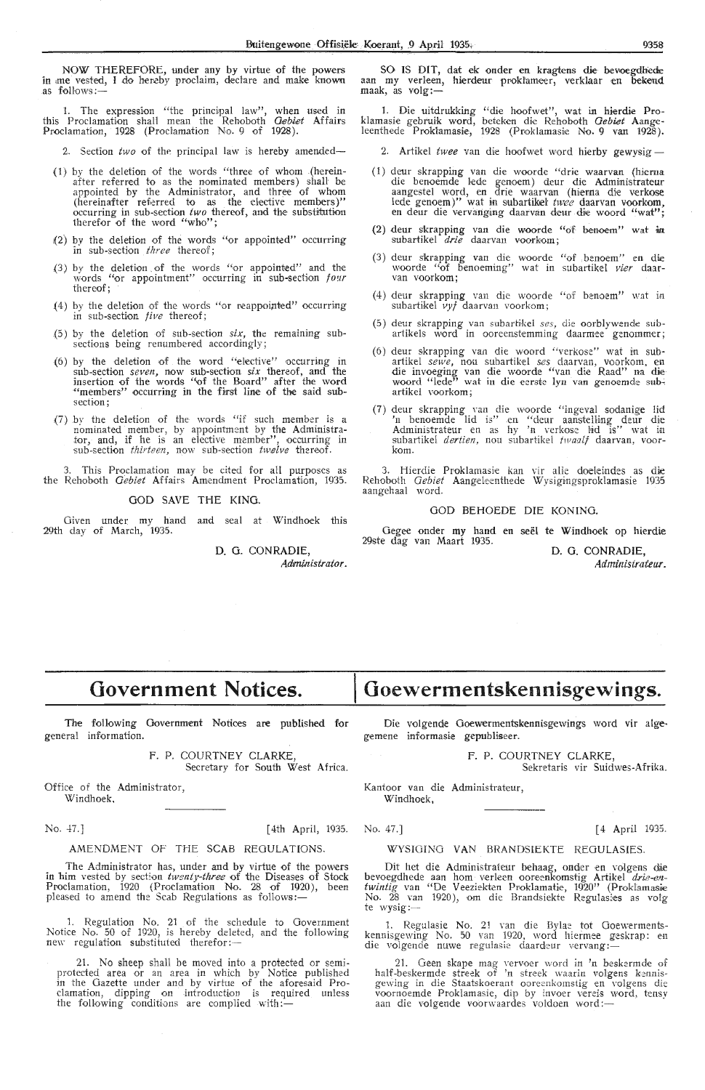NOW THEREFORE, under any by virtue of the powers in me vested, I do hereby proclaim, declare and make known .as follows:-

1. The expression "the principal law", when used in this Proclamation shall mean the Rehoboth *Oebiet* **Affairs**  Proclamation, 1928 (Proclamation No. 9 of 1928).

2. Section two of the principal law is hereby amended-

- {l) by the deletion of the words "three of whom (hereinafter referred to as the nominated members) shall be appointed by the Administrator, and three of whom (hereinafter referred to as the elective members)" occurring in sub-section *two* thereof, and the substitution therefor of the word "who";
- (2) by the deletion of the words "or appointed" occurring in sub-section *three* thereof;
- (3) by the deletion of the words "or appointed" and the words "or appointment" occurring in sub-section *four* thereof;
- $(4)$  by the deletion of the words "or reappointed" occurring in sub-section five thereof;
- {5) by the deletion of sub-section *six,* the remaining subsections being renumbered accordingly;
- (6) by the deletion of the word "elective" occurring in by the deletion of the word "elective" occurring in sub-section *seven*, now sub-section *six* thereof, and the insertion of the words "of the Board" after the word "members" occurring in the first line of the said subsection;
- (7) by the deletion of the words "if such member is a nominated member, by appointment by the Administrator, and, if he is an elective member", occurring in sub-section *thirteen*, now sub-section *twelve* thereof.

3. This Proclamation may be cited for all purposes as the Rehoboth *Oebiet* Affairs Amendment Proclamation, 1935.

GOD SAVE THE KING.

Given under my hand and seal at Windhoek this 29th day of March, 1935.

> D. G. CONRADIE, Administrator.

SO IS DIT, dat ek onder en kragtens die bevoegdhede aan my verleen, hierdeur proklameer, verklaar en bekend<br>maak, as volg:—

1. Die uitdrukking "die hoofwet", wat in hierdie Proklamasie gebruik word, beteken die Rehoboth *Oebiet* Aangeleenthede Proklamasie, 1928 (Proklamasie No. 9 van 1928).

2. Artikel twee van die hoofwet word hierby gewysig-

- (1) deur skrapping van die woorde "drie waarvan (hierna die benoemde lede genoem) deur die Administrateur aangestel word, en drie waarvan (hiema die verkose lede genoem)" wat in subartikel *twee* daarvan voorkom,<br>en deur die vervanging daarvan deur die woord "wat";
- (2) deur skrapping van die woorde "of benoem" wat in subartikel *drie* daarvan voorkom;
- (3) deur skrapping van die woorde "of ,benoem" en die woorde "of benoeming" wat in subartikel *vier* daar-<br>van voorkom;
- (4) deur skrapping van die woorde "of benoem" wat in subartikel *vyf* daarvan voorkom;
- (5) deur skrapping van subartikel ses, die oorblywende subartikels word in ooreenstemming daarmee genommer;
- (6) deur skrapping van die woord "verkose" wat in subartikel *sewe,* nou subartikel *ses* daarvan, vourkom, en die invoeging van die woorde "van di;e Raad" na die woord "lede<sup>r)</sup> wat in die eerste lyn van genoemde sub-<br>artikel voorkom;
- (7) deur skrapping van die woorde "ingeval sodanige lid 'n benoemde lid is" en "deur aanstelling deur die Administrateur en as hy 'n verkose lid is" wat in subartikel *dertien,* nou subartikel *twaalf* daarvan, voor-<br>kom.

3. Hierdie Proklamasie kan vir alle doeleindes as die<br>Rehoboth *Gebiet* Aangeleenthede Wysigingsproklamasie 1935 aangehaal word.

#### GOD BEHOEDE DIE KONING.

Gegee onder my hand en seel te Windhoek op hierdie 29ste dag van Maart 1935. D. **0. CONRADIE,** 

*Administrat.eur.* 

## **Government Notices.**

The following Government Notices are published for general information.

> F. P. COURTNEY CLARKE Secretary for South West Africa.

Office of the Administrator, Windhoek.

No. 47.] [4th April, 1935. No. 47.] [4 April 1935.

#### AMENDMENT OF THE SCAB REGULATIONS.

The Administrator has, under and by virtue of the powers in him vested by section *twenty-three* of the Diseases of Stock Proclamation, 1920 (Proclamation No. 28 of 1920), been pleased to amend the Scab Regulations as follows:-

1. Regulation No. 21 of the schedule to Government Notice No. 50 of 1920, is hereby deleted, and the following<br>new regulation substituted therefor:---

21. No sheep shall be moved into a protected or semiprotected area or an area in which by Notice published in the Gazette under and by virtue of the aforesaid Proclamation, dipping on introduction is required unless the following conditions are complied with:-

## **Goewermentskennisgewings.**

Die volgende Goewermentskennisgewings word vir algegemene informasie gepubliseer.

F. P. COURTNEY CLARKE,

Sekretaris vir Suidwes-Afrika.

Kantoor van die Administrateur, Windhoek,

#### WYSIOING VAN BRANDSIEKTE REGULASIES,

Dit het die Administrateur behaag, onder en volgens die bevoegdhede aan hom verleen ooreenkomstig Artikel *drie-en-*<br>*twintig* van "De Veeziekten Proklamatie, 1920" (Proklamasie No. 28 van 1920), om die Brandsiekte Regulasies as volg te wysig:-

1. Regulasie No. 21 van die Bylae tot Ooewermentskennisgewing No. 50 van 1920, word hiermee geskrap: en<br>die volgende nuwe regulasie daardeur vervang:—

21. Geen skape mag vervoer word in 'n beskermde of half-beskermde streek of 'n streek waarin volgens kennisgewing in di,e Staatskoerant ooreenkomstig en volgens die voornoemde Proklamasie, dip by invoer vereis word, tensy<br>aan die volgende voorwaardes voldoen word:---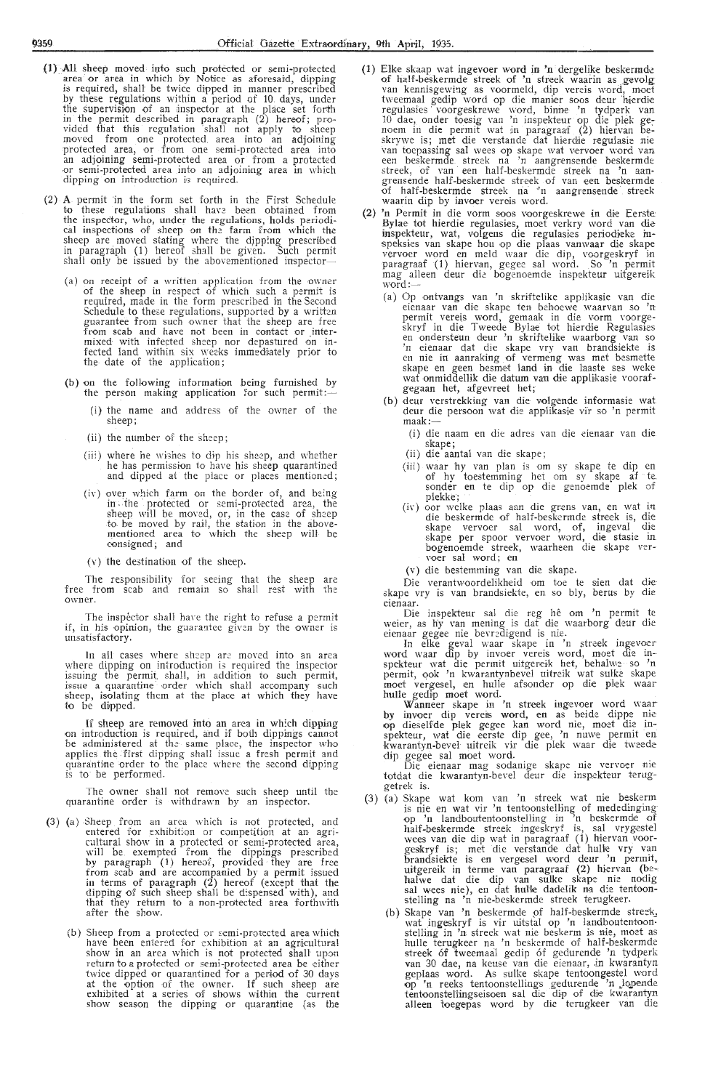- (1) All sheep moved into such protected or semi-protected area or area in which by Notice as aforesaid, dipping is required, shall be twice dipped in manner prescribed by these regulations within a period of 10 days, under the supervision of an inspector at the place set forth in the permit described in paragraph (2) hereof; provided that this regulation shall not apply to sheep moyed from one protected area into an adjoining protected area, or from one semi-protected area into an adjoining semi-protected area or from a protected an adjoining semi-protected area or from a protected<br>or semi-protected area into an adjoining area in which dipping on introduction is required.
- (2} **A** permit in the form set forth in the First Schedule to these regulations shall have been obtained from the inspector, who, under the regulations, holds periodical inspections of sheep on the farm from which the sheep are moved stating where the dipping prescribed in paragraph (1) hereof shall be given. Such permit shall only be issued by the abovementioned inspector-
	- (a) on receipt of a written application from the owner of the sheep in respect of which such a permit is required, made in the form prescribed in the Second Schedule to these regulations, supported by a written guarantee from such owner that the sheep are free from scab and have not been in contact or intermixed with infected sheep nor depastured on infected land within six weeks immediately prior to the- date of the application;
	- (b) on the following information being furnished by the person making application for such permit:-
		- (i) the name and address of the owner of the sheep;
		- (ii) the number of the sheep;
		- (iii) where he wishes to dip his sheep, and whether he has permission to have his sheep quarantined and dipped at the place or places mentioned;
		- (iv) over which farm on the border of, and being in the protected or semi-protected area, the sheep will be moved, or, in the case of sheep to be moved by rail, the station in the above-<br>mentioned area to which the sheep will be consigned; and
		- $(v)$  the destination of the sheep.

The responsibility for seeing that the sheep are free from scab and remain so shall rest with the owner.

The inspector shall have the right to refuse a permit if, in his opinion, the guarantee given by the owner is unsatisfactory.

In all cases where sheep are moved into an area where dipping on introduction is required the inspector issuing the permit shall, in addition to such permit,<br>issue a quarantine order which shall accompany such sheep, isolating them at the place at which they have to be dipped.

If sheep are removed into an area in which dipping on introduction is required, and if both dippings cannot be administered at the same place, the inspector who applies the first dipping shall issue a fresh permit and quarantine order to the place where the second dipping is to be performed.

The owner shall not remove such sheep until tbe quarantine order is withdrawn by an inspector.

- (3) (a) Sheep from an area which is not protected, and entered for exhibition or competition at an agricultural show in a protected or semi-protected area, will be exempted from the dippings prescribed by paragraph (1) hereof, provided they are free from scab and are accompanied by a permit issued in terms of paragraph (2) hereof (except that the dipping of such sheep shall be dispensed with), and that they return to a non-protected area forthwith after the show.
	- (b) Sheep from a protected or semi-protected area which have been entered for exhibition at an agricultural show in an area which is not protected shall upon return to a protected or semi-protected area be either twice dipped or quarantined for a period of 30 days at the option of the owner. If such sheep are exhibited at a series of shows within the current show season the dipping or quarantine (as the
- (1) Elke skaap wat ingevoer word in 'n dergelike beskermde of half-beskermde streek of 'n streek waarin as gevolg van kennisgewing as voormeld, dip vereis word, moet tweemaal gedip word op die manier soos deur hierdie regulasies · voorgeskrewe word, binne 'n tydperk van 10 dae, onder toesig van 'n inspekteur op die plek ge-<br>noem in die permit wat in paragraaf (2) hiervan beskrywe is; met die verstande dat hierdie regulasie nie van toepassing sal wees op skape wat vervoer word van een beskermde. streek na 'n aangrensende beskermde. streek, of van een half-beskermde streek na 'n aan-<br>grensende half-beskermde streek of van een beskermde of hatf-beskermde streek ria ·'n aangrensende streek waarin dip by invoer vereis word.
- (2) 'n Permit in die vorm soos voorgeskrewe in die Eerste Bylae tot hierdie regulasies, moet verkry word van die<br>inspekteur, wat, volgens die regulasies periodieke inspeksies van skape hou op die plaas vanwaar die skape<br>vervoer word en meld waar die dip, voorgeskryf in paragraaf (1) hiervan, gegee sal word. So 'n permit mag alleen deur die bogenoemde inspekteur uitgereik word:-
	- (a) Op ontvangs van 'n skriftelike applikasie van die<br>eienaar van die skape ten behoewe waarvan so 'n permit vereis word, gemaak in die vorm voorgeskryf in die Tweede Bylae tot hierdie Regulasies<br>en ondersteun deur 'n skriftelike waarborg van so<br>'n eienaar dat die skape vry van brandsiekte is<br>en nie in aanraking of vermeng was met besmette skape en geen besmet land in die laaste ses weke wat onmiddellik die datum van die applikasie voorafgegaan het, afgevreet het;
	- (b) deur verstrekking van die volgende informasie wat deur die persoon wat die applikasie vir so 'n permit maak:-
		- (i) die naam en die adres van die eienaar van die skape;
		- (ii) die aantal van die skape;
		- (iii) waar hy van plan is om sy skape *te* dip en of hy toestemming het om sy skape af te. sonder en te dip op die genoemde plek of plekke;
		- (iv) oor welke plaas aan die grens van, en wat in die beskermde of half-beskermde streek is, die skape vervoer sal word, of, ingeval die<br>skape per spoor vervoer word, die stasie in bogenoemde streek, waarheen die skape ver- voer sal word; en
		- (v) die bestemming van die skape.

Die verantwoordelikheid om toe te sien dat die skape vry is van brandsiekte, en so bly, berus by die

eienaar.<br>Die inspekteur sal die reg hê om 'n permit te weier, as hy van mening is dat die waarborg deur die eienaar gegee nie bevredigend is nie.

In elke geval waar skape in 'n streek ingevoer word waar dip by invoer vereis word, moet die inspekteur wat die permit uitgereik het, behalwe so 'n permit, ook 'n kwarantynbevel uitreik wat sulke skape moet vergesel, en hulle afsonder op die plek waar hulle gedip moet word.

Wanneer skape in 'n streek ingevoer word waar by invoer dip vereis word, en as beide dippe nie **op** dieselfde plek gegee kan word nie, moet die in-spekteur, wat die eerste dip gee, 'n nuwe permit en<br>kwarantyn-bevel uitreik vir die plek waar die tweede

dip gegee sal moet word.<br>
Die eienaar mag sodanige skape nie vervoer nie<br>
totdat die kwarantyn-bevel deur die inspekteur teruggetrek is.

- (3) (a) Skape wat kom van 'n streek wat nie beskerm is nie en wat vir 'n tentoonstelling of mededinging op 'n landboutenioonstelling in 'n beskermde of half-beskermde streek ingeskryf is, sal vrygestel<br>wees van die dip wat in paragraaf (1) hiervan voor-<br>geskryf is; met die verstande dat hulle vry van<br>brandsiekte is en vergesel word deur 'n permit, uitgereik in terme van paragraaf (2) hiervan (be-<br>halwe dat die dip van sulke skape nie nodig sal wees nie), en dat hulle dadelik na die tentoonstelling na 'n nie-beskermde streek terugkeer.
	- (b) Skape van 'n beskermde of half-beskermde streek, wat ingeskryf is vir uitstal op 'n landboutentoonstelling in 'n streek wat nie beskerm is nie, moet as<br>hulle terugkeer na 'n beskermde of half-beskermde streek 6f tweemaal gedip 6f gedurende 'n tydperk van 30 dae, na keuse van die eienaar, in kwarantyn geplaas word. As sulke skape tentoongestel word op 'n reeks tentoonstellings g,edurende 'n )opende tentoonstethngseisoen sal die dip of die kwarantyn alleen roegepas word by die terugkeer van die